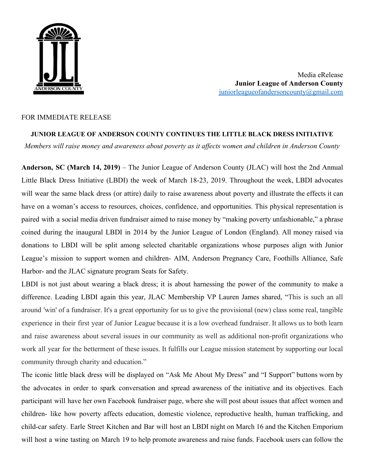

Media eRelease **Junior League of Anderson County** [juniorleagueofandersoncounty@gmail.com](mailto:juniorleagueofandersoncounty@gmail.com)

## FOR IMMEDIATE RELEASE

## **JUNIOR LEAGUE OF ANDERSON COUNTY CONTINUES THE LITTLE BLACK DRESS INITIATIVE** *Members will raise money and awareness about poverty as it affects women and children in Anderson County*

**Anderson, SC (March 14, 2019)** – The Junior League of Anderson County (JLAC) will host the 2nd Annual Little Black Dress Initiative (LBDI) the week of March 18-23, 2019. Throughout the week, LBDI advocates will wear the same black dress (or attire) daily to raise awareness about poverty and illustrate the effects it can have on a woman's access to resources, choices, confidence, and opportunities. This physical representation is paired with a social media driven fundraiser aimed to raise money by "making poverty unfashionable," a phrase coined during the inaugural LBDI in 2014 by the Junior League of London (England). All money raised via donations to LBDI will be split among selected charitable organizations whose purposes align with Junior League's mission to support women and children- AIM, Anderson Pregnancy Care, Foothills Alliance, Safe Harbor- and the JLAC signature program Seats for Safety.

LBDI is not just about wearing a black dress; it is about harnessing the power of the community to make a difference. Leading LBDI again this year, JLAC Membership VP Lauren James shared, "This is such an all around 'win' of a fundraiser. It's a great opportunity for us to give the provisional (new) class some real, tangible experience in their first year of Junior League because it is a low overhead fundraiser. It allows us to both learn and raise awareness about several issues in our community as well as additional non-profit organizations who work all year for the betterment of these issues. It fulfills our League mission statement by supporting our local community through charity and education."

The iconic little black dress will be displayed on "Ask Me About My Dress" and "I Support" buttons worn by the advocates in order to spark conversation and spread awareness of the initiative and its objectives. Each participant will have her own Facebook fundraiser page, where she will post about issues that affect women and children- like how poverty affects education, domestic violence, reproductive health, human trafficking, and child-car safety. Earle Street Kitchen and Bar will host an LBDI night on March 16 and the Kitchen Emporium will host a wine tasting on March 19 to help promote awareness and raise funds. Facebook users can follow the